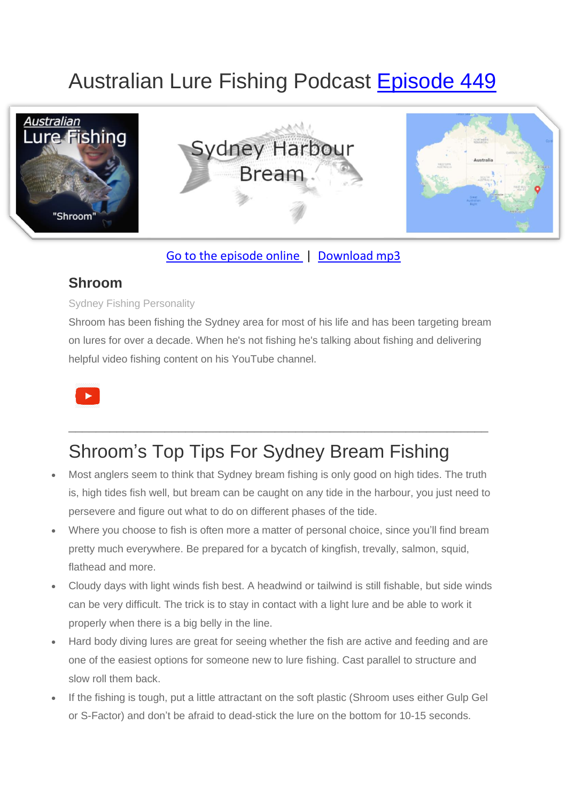# Australian Lure Fishing Podcast [Episode 449](https://doclures.com/sydney-harbour-bream-shroom/)



### [Go to the episode online](https://doclures.com/sydney-harbour-bream-shroom/) | [Download mp3](https://traffic.libsyn.com/secure/doclures/449-sydney-bream-shroom.mp3)

### **Shroom**

#### Sydney Fishing Personality

Shroom has been fishing the Sydney area for most of his life and has been targeting bream on lures for over a decade. When he's not fishing he's talking about fishing and delivering helpful video fishing content on his YouTube channel.

\_\_\_\_\_\_\_\_\_\_\_\_\_\_\_\_\_\_\_\_\_\_\_\_\_\_\_\_\_\_\_\_\_\_\_\_\_\_\_\_\_\_\_\_\_\_\_\_\_\_\_\_\_\_\_\_\_\_\_\_\_



# Shroom's Top Tips For Sydney Bream Fishing

- Most anglers seem to think that Sydney bream fishing is only good on high tides. The truth is, high tides fish well, but bream can be caught on any tide in the harbour, you just need to persevere and figure out what to do on different phases of the tide.
- Where you choose to fish is often more a matter of personal choice, since you'll find bream pretty much everywhere. Be prepared for a bycatch of kingfish, trevally, salmon, squid, flathead and more.
- Cloudy days with light winds fish best. A headwind or tailwind is still fishable, but side winds can be very difficult. The trick is to stay in contact with a light lure and be able to work it properly when there is a big belly in the line.
- Hard body diving lures are great for seeing whether the fish are active and feeding and are one of the easiest options for someone new to lure fishing. Cast parallel to structure and slow roll them back.
- If the fishing is tough, put a little attractant on the soft plastic (Shroom uses either Gulp Gel or S-Factor) and don't be afraid to dead-stick the lure on the bottom for 10-15 seconds.